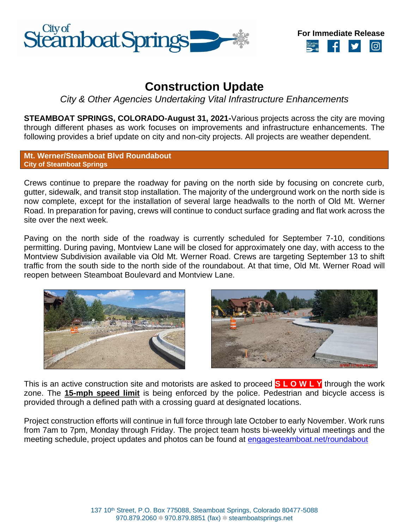



# **Construction Update**

*City & Other Agencies Undertaking Vital Infrastructure Enhancements*

**STEAMBOAT SPRINGS, COLORADO-August 31, 2021-**Various projects across the city are moving through different phases as work focuses on improvements and infrastructure enhancements. The following provides a brief update on city and non-city projects. All projects are weather dependent.

**Mt. Werner/Steamboat Blvd Roundabout City of Steamboat Springs**

Crews continue to prepare the roadway for paving on the north side by focusing on concrete curb, gutter, sidewalk, and transit stop installation. The majority of the underground work on the north side is now complete, except for the installation of several large headwalls to the north of Old Mt. Werner Road. In preparation for paving, crews will continue to conduct surface grading and flat work across the site over the next week.

Paving on the north side of the roadway is currently scheduled for September 7-10, conditions permitting. During paving, Montview Lane will be closed for approximately one day, with access to the Montview Subdivision available via Old Mt. Werner Road. Crews are targeting September 13 to shift traffic from the south side to the north side of the roundabout. At that time, Old Mt. Werner Road will reopen between Steamboat Boulevard and Montview Lane.





This is an active construction site and motorists are asked to proceed **S L O W L Y** through the work zone. The **15-mph speed limit** is being enforced by the police. Pedestrian and bicycle access is provided through a defined path with a crossing guard at designated locations.

Project construction efforts will continue in full force through late October to early November. Work runs from 7am to 7pm, Monday through Friday. The project team hosts bi-weekly virtual meetings and the meeting schedule, project updates and photos can be found at [engagesteamboat.net/roundabout](file://///fs01/share/General%20Government/Communications/Public/Press%20Releases/2021/engagesteamboat.net/roundabout)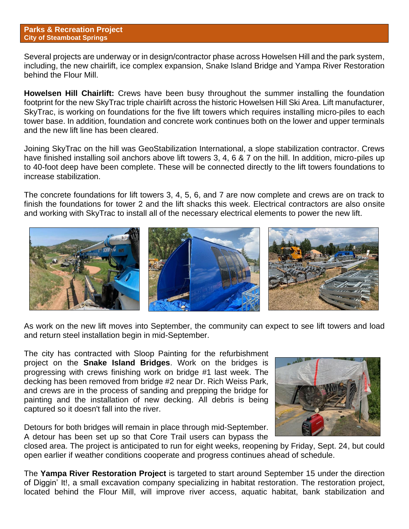#### **Parks & Recreation Project City of Steamboat Springs**

Several projects are underway or in design/contractor phase across Howelsen Hill and the park system, including, the new chairlift, ice complex expansion, Snake Island Bridge and Yampa River Restoration behind the Flour Mill.

**Howelsen Hill Chairlift:** Crews have been busy throughout the summer installing the foundation footprint for the new SkyTrac triple chairlift across the historic Howelsen Hill Ski Area. Lift manufacturer, SkyTrac, is working on foundations for the five lift towers which requires installing micro-piles to each tower base. In addition, foundation and concrete work continues both on the lower and upper terminals and the new lift line has been cleared.

Joining SkyTrac on the hill was GeoStabilization International, a slope stabilization contractor. Crews have finished installing soil anchors above lift towers 3, 4, 6 & 7 on the hill. In addition, micro-piles up to 40-foot deep have been complete. These will be connected directly to the lift towers foundations to increase stabilization.

The concrete foundations for lift towers 3, 4, 5, 6, and 7 are now complete and crews are on track to finish the foundations for tower 2 and the lift shacks this week. Electrical contractors are also onsite and working with SkyTrac to install all of the necessary electrical elements to power the new lift.



As work on the new lift moves into September, the community can expect to see lift towers and load and return steel installation begin in mid-September.

The city has contracted with Sloop Painting for the refurbishment project on the **Snake Island Bridges**. Work on the bridges is progressing with crews finishing work on bridge #1 last week. The decking has been removed from bridge #2 near Dr. Rich Weiss Park, and crews are in the process of sanding and prepping the bridge for painting and the installation of new decking. All debris is being captured so it doesn't fall into the river.

Detours for both bridges will remain in place through mid-September. A detour has been set up so that Core Trail users can bypass the



closed area. The project is anticipated to run for eight weeks, reopening by Friday, Sept. 24, but could open earlier if weather conditions cooperate and progress continues ahead of schedule.

The **Yampa River Restoration Project** is targeted to start around September 15 under the direction of Diggin' It!, a small excavation company specializing in habitat restoration. The restoration project, located behind the Flour Mill, will improve river access, aquatic habitat, bank stabilization and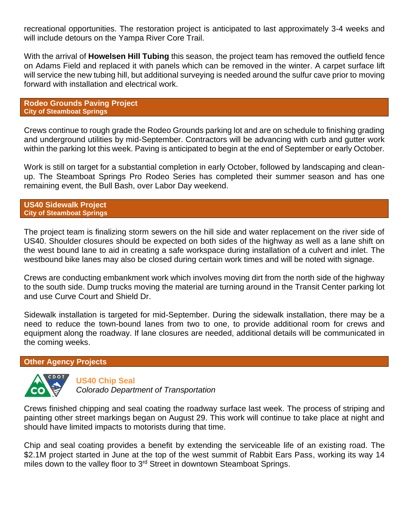recreational opportunities. The restoration project is anticipated to last approximately 3-4 weeks and will include detours on the Yampa River Core Trail.

With the arrival of **Howelsen Hill Tubing** this season, the project team has removed the outfield fence on Adams Field and replaced it with panels which can be removed in the winter. A carpet surface lift will service the new tubing hill, but additional surveying is needed around the sulfur cave prior to moving forward with installation and electrical work.

**Rodeo Grounds Paving Project City of Steamboat Springs**

Crews continue to rough grade the Rodeo Grounds parking lot and are on schedule to finishing grading and underground utilities by mid-September. Contractors will be advancing with curb and gutter work within the parking lot this week. Paving is anticipated to begin at the end of September or early October.

Work is still on target for a substantial completion in early October, followed by landscaping and cleanup. The Steamboat Springs Pro Rodeo Series has completed their summer season and has one remaining event, the Bull Bash, over Labor Day weekend.

**US40 Sidewalk Project City of Steamboat Springs**

The project team is finalizing storm sewers on the hill side and water replacement on the river side of US40. Shoulder closures should be expected on both sides of the highway as well as a lane shift on the west bound lane to aid in creating a safe workspace during installation of a culvert and inlet. The westbound bike lanes may also be closed during certain work times and will be noted with signage.

Crews are conducting embankment work which involves moving dirt from the north side of the highway to the south side. Dump trucks moving the material are turning around in the Transit Center parking lot and use Curve Court and Shield Dr.

Sidewalk installation is targeted for mid-September. During the sidewalk installation, there may be a need to reduce the town-bound lanes from two to one, to provide additional room for crews and equipment along the roadway. If lane closures are needed, additional details will be communicated in the coming weeks.

### **Other Agency Projects**



**US40 Chip Seal**

*Colorado Department of Transportation*

Crews finished chipping and seal coating the roadway surface last week. The process of striping and painting other street markings began on August 29. This work will continue to take place at night and should have limited impacts to motorists during that time.

Chip and seal coating provides a benefit by extending the serviceable life of an existing road. The \$2.1M project started in June at the top of the west summit of Rabbit Ears Pass, working its way 14 miles down to the valley floor to 3<sup>rd</sup> Street in downtown Steamboat Springs.